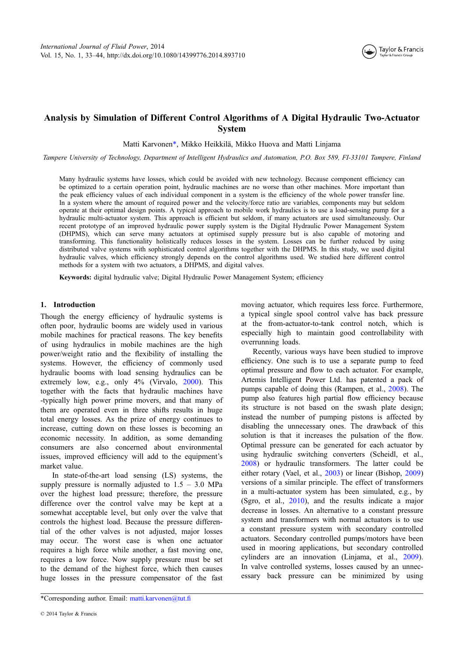

# Analysis by Simulation of Different Control Algorithms of A Digital Hydraulic Two-Actuator System

Matti Karvonen\*, Mikko Heikkilä, Mikko Huova and Matti Linjama

Tampere University of Technology, Department of Intelligent Hydraulics and Automation, P.O. Box 589, FI-33101 Tampere, Finland

Many hydraulic systems have losses, which could be avoided with new technology. Because component efficiency can be optimized to a certain operation point, hydraulic machines are no worse than other machines. More important than the peak efficiency values of each individual component in a system is the efficiency of the whole power transfer line. In a system where the amount of required power and the velocity/force ratio are variables, components may but seldom operate at their optimal design points. A typical approach to mobile work hydraulics is to use a load-sensing pump for a hydraulic multi-actuator system. This approach is efficient but seldom, if many actuators are used simultaneously. Our recent prototype of an improved hydraulic power supply system is the Digital Hydraulic Power Management System (DHPMS), which can serve many actuators at optimised supply pressure but is also capable of motoring and transforming. This functionality holistically reduces losses in the system. Losses can be further reduced by using distributed valve systems with sophisticated control algorithms together with the DHPMS. In this study, we used digital hydraulic valves, which efficiency strongly depends on the control algorithms used. We studied here different control methods for a system with two actuators, a DHPMS, and digital valves.

Keywords: digital hydraulic valve; Digital Hydraulic Power Management System; efficiency

# 1. Introduction

Though the energy efficiency of hydraulic systems is often poor, hydraulic booms are widely used in various mobile machines for practical reasons. The key benefits of using hydraulics in mobile machines are the high power/weight ratio and the flexibility of installing the systems. However, the efficiency of commonly used hydraulic booms with load sensing hydraulics can be extremely low, e.g., only 4% (Virvalo, [2000](#page-11-0)). This together with the facts that hydraulic machines have -typically high power prime movers, and that many of them are operated even in three shifts results in huge total energy losses. As the prize of energy continues to increase, cutting down on these losses is becoming an economic necessity. In addition, as some demanding consumers are also concerned about environmental issues, improved efficiency will add to the equipment's market value.

In state-of-the-art load sensing (LS) systems, the supply pressure is normally adjusted to  $1.5 - 3.0$  MPa over the highest load pressure; therefore, the pressure difference over the control valve may be kept at a somewhat acceptable level, but only over the valve that controls the highest load. Because the pressure differential of the other valves is not adjusted, major losses may occur. The worst case is when one actuator requires a high force while another, a fast moving one, requires a low force. Now supply pressure must be set to the demand of the highest force, which then causes huge losses in the pressure compensator of the fast

\*Corresponding author. Email: [matti.karvonen@tut.](mailto:matti.karvonen@tut.fi)fi

moving actuator, which requires less force. Furthermore, a typical single spool control valve has back pressure at the from-actuator-to-tank control notch, which is especially high to maintain good controllability with overrunning loads.

Recently, various ways have been studied to improve efficiency. One such is to use a separate pump to feed optimal pressure and flow to each actuator. For example, Artemis Intelligent Power Ltd. has patented a pack of pumps capable of doing this (Rampen, et al., [2008](#page-11-0)). The pump also features high partial flow efficiency because its structure is not based on the swash plate design; instead the number of pumping pistons is affected by disabling the unnecessary ones. The drawback of this solution is that it increases the pulsation of the flow. Optimal pressure can be generated for each actuator by using hydraulic switching converters (Scheidl, et al., [2008\)](#page-11-0) or hydraulic transformers. The latter could be either rotary (Vael, et al., [2003](#page-11-0)) or linear (Bishop, [2009\)](#page-10-0) versions of a similar principle. The effect of transformers in a multi-actuator system has been simulated, e.g., by (Sgro, et al., [2010](#page-11-0)), and the results indicate a major decrease in losses. An alternative to a constant pressure system and transformers with normal actuators is to use a constant pressure system with secondary controlled actuators. Secondary controlled pumps/motors have been used in mooring applications, but secondary controlled cylinders are an innovation (Linjama, et al., [2009](#page-10-0)). In valve controlled systems, losses caused by an unnecessary back pressure can be minimized by using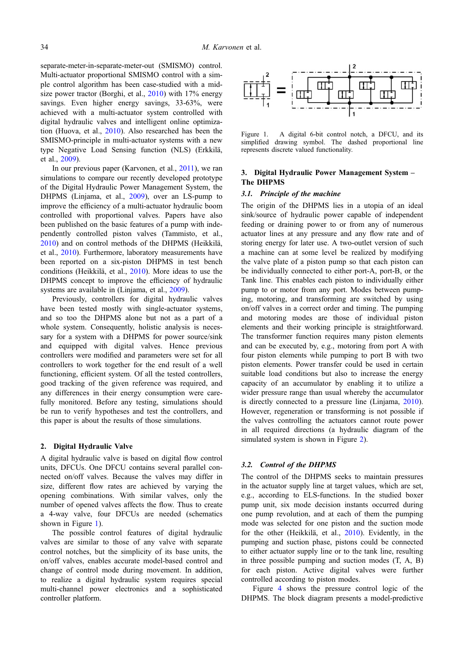<span id="page-1-0"></span>separate-meter-in-separate-meter-out (SMISMO) control. Multi-actuator proportional SMISMO control with a simple control algorithm has been case-studied with a midsize power tractor (Borghi, et al., [2010](#page-10-0)) with 17% energy savings. Even higher energy savings, 33-63%, were achieved with a multi-actuator system controlled with digital hydraulic valves and intelligent online optimization (Huova, et al., [2010\)](#page-10-0). Also researched has been the SMISMO-principle in multi-actuator systems with a new type Negative Load Sensing function (NLS) (Erkkilä, et al., [2009\)](#page-10-0).

In our previous paper (Karvonen, et al., [2011](#page-10-0)), we ran simulations to compare our recently developed prototype of the Digital Hydraulic Power Management System, the DHPMS (Linjama, et al., [2009](#page-11-0)), over an LS-pump to improve the efficiency of a multi-actuator hydraulic boom controlled with proportional valves. Papers have also been published on the basic features of a pump with independently controlled piston valves (Tammisto, et al., [2010\)](#page-11-0) and on control methods of the DHPMS (Heikkilä, et al., [2010\)](#page-10-0). Furthermore, laboratory measurements have been reported on a six-piston DHPMS in test bench conditions (Heikkilä, et al., [2010](#page-10-0)). More ideas to use the DHPMS concept to improve the efficiency of hydraulic systems are available in (Linjama, et al., [2009\)](#page-10-0).

Previously, controllers for digital hydraulic valves have been tested mostly with single-actuator systems, and so too the DHPMS alone but not as a part of a whole system. Consequently, holistic analysis is necessary for a system with a DHPMS for power source/sink and equipped with digital valves. Hence previous controllers were modified and parameters were set for all controllers to work together for the end result of a well functioning, efficient system. Of all the tested controllers, good tracking of the given reference was required, and any differences in their energy consumption were carefully monitored. Before any testing, simulations should be run to verify hypotheses and test the controllers, and this paper is about the results of those simulations.

#### 2. Digital Hydraulic Valve

A digital hydraulic valve is based on digital flow control units, DFCUs. One DFCU contains several parallel connected on/off valves. Because the valves may differ in size, different flow rates are achieved by varying the opening combinations. With similar valves, only the number of opened valves affects the flow. Thus to create a 4-way valve, four DFCUs are needed (schematics shown in Figure 1).

The possible control features of digital hydraulic valves are similar to those of any valve with separate control notches, but the simplicity of its base units, the on/off valves, enables accurate model-based control and change of control mode during movement. In addition, to realize a digital hydraulic system requires special multi-channel power electronics and a sophisticated controller platform.



Figure 1. A digital 6-bit control notch, a DFCU, and its simplified drawing symbol. The dashed proportional line represents discrete valued functionality.

# 3. Digital Hydraulic Power Management System – The DHPMS

# 3.1. Principle of the machine

The origin of the DHPMS lies in a utopia of an ideal sink/source of hydraulic power capable of independent feeding or draining power to or from any of numerous actuator lines at any pressure and any flow rate and of storing energy for later use. A two-outlet version of such a machine can at some level be realized by modifying the valve plate of a piston pump so that each piston can be individually connected to either port-A, port-B, or the Tank line. This enables each piston to individually either pump to or motor from any port. Modes between pumping, motoring, and transforming are switched by using on/off valves in a correct order and timing. The pumping and motoring modes are those of individual piston elements and their working principle is straightforward. The transformer function requires many piston elements and can be executed by, e.g., motoring from port A with four piston elements while pumping to port B with two piston elements. Power transfer could be used in certain suitable load conditions but also to increase the energy capacity of an accumulator by enabling it to utilize a wider pressure range than usual whereby the accumulator is directly connected to a pressure line (Linjama, [2010](#page-11-0)). However, regeneration or transforming is not possible if the valves controlling the actuators cannot route power in all required directions (a hydraulic diagram of the simulated system is shown in Figure [2\)](#page-2-0).

### 3.2. Control of the DHPMS

The control of the DHPMS seeks to maintain pressures in the actuator supply line at target values, which are set, e.g., according to ELS-functions. In the studied boxer pump unit, six mode decision instants occurred during one pump revolution, and at each of them the pumping mode was selected for one piston and the suction mode for the other (Heikkilä, et al., [2010](#page-10-0)). Evidently, in the pumping and suction phase, pistons could be connected to either actuator supply line or to the tank line, resulting in three possible pumping and suction modes (T, A, B) for each piston. Active digital valves were further controlled according to piston modes.

Figure [4](#page-3-0) shows the pressure control logic of the DHPMS. The block diagram presents a model-predictive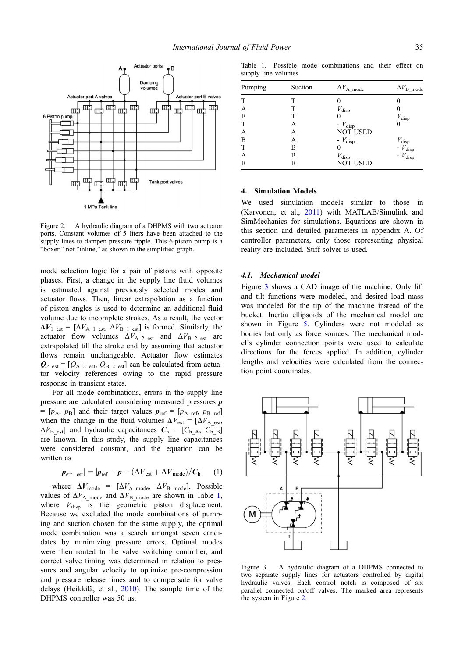<span id="page-2-0"></span>

Figure 2. A hydraulic diagram of a DHPMS with two actuator ports. Constant volumes of 5 liters have been attached to the supply lines to dampen pressure ripple. This 6-piston pump is a "boxer," not "inline," as shown in the simplified graph.

mode selection logic for a pair of pistons with opposite phases. First, a change in the supply line fluid volumes is estimated against previously selected modes and actuator flows. Then, linear extrapolation as a function of piston angles is used to determine an additional fluid volume due to incomplete strokes. As a result, the vector  $\Delta V_{1ext} = [\Delta V_{A-1\textrm{ est}}, \Delta V_{B-1\textrm{ est}}]$  is formed. Similarly, the actuator flow volumes  $\overline{\Delta V}_{A_2}$ <sub>est</sub> and  $\Delta V_{B_2}$ <sub>est</sub> are extrapolated till the stroke end by assuming that actuator flows remain unchangeable. Actuator flow estimates  $Q_{2\text{est}} = [Q_{A\_2\text{est}}, Q_{B\_2\text{est}}]$  can be calculated from actuator velocity references owing to the rapid pressure response in transient states.

For all mode combinations, errors in the supply line pressure are calculated considering measured pressures p =  $[p_A, p_B]$  and their target values  $p_{ref} = [p_A, p_B, p_B]$ when the change in the fluid volumes  $\Delta V_{\rm est} = [\Delta V_{\rm A\_est}$ ,  $\Delta V_{\text{B est}}$ ] and hydraulic capacitances  $C_{\text{h}} = [C_{\text{h}_A}, C_{\text{h}_B}]$ are known. In this study, the supply line capacitances were considered constant, and the equation can be written as

$$
|\boldsymbol{p}_{\text{err\_est}}| = |\boldsymbol{p}_{\text{ref}} - \boldsymbol{p} - (\Delta \boldsymbol{V}_{\text{est}} + \Delta \boldsymbol{V}_{\text{mode}})/\boldsymbol{C}_{\text{h}}| \quad (1)
$$

where  $\Delta V_{\text{mode}} = [\Delta V_{\text{A mode}}, \Delta V_{\text{B mode}}]$ . Possible values of  $\Delta V_{\text{A_model}}$  and  $\Delta V_{\text{B mode}}$  are shown in Table 1, where  $V_{\text{disp}}$  is the geometric piston displacement. Because we excluded the mode combinations of pumping and suction chosen for the same supply, the optimal mode combination was a search amongst seven candidates by minimizing pressure errors. Optimal modes were then routed to the valve switching controller, and correct valve timing was determined in relation to pressures and angular velocity to optimize pre-compression and pressure release times and to compensate for valve delays (Heikkilä, et al., [2010\)](#page-10-0). The sample time of the DHPMS controller was 50 μs.

Table 1. Possible mode combinations and their effect on supply line volumes

| Pumping | Suction | $\Delta V_{\rm A \ mode}$ | $\Delta V_{\rm B\_mode}$                                  |
|---------|---------|---------------------------|-----------------------------------------------------------|
| T       |         |                           |                                                           |
| A       |         | $V_{\text{disp}}$         |                                                           |
| B       | Τ       |                           | $V_{\rm disp}$                                            |
| T       | А       | - $V_{\text{disp}}$       |                                                           |
| A       | А       | NOT USED                  |                                                           |
| B       | A       | - $V_{\text{disp}}$       |                                                           |
| T       | В       | 0                         |                                                           |
| A       | В       | $V_{\rm disp}$            | $V_{\text{disp}}$ - $V_{\text{disp}}$ - $V_{\text{disp}}$ |
| B       | В       | NOT USED                  |                                                           |

#### 4. Simulation Models

We used simulation models similar to those in (Karvonen, et al., [2011\)](#page-10-0) with MATLAB/Simulink and SimMechanics for simulations. Equations are shown in this section and detailed parameters in appendix A. Of controller parameters, only those representing physical reality are included. Stiff solver is used.

# 4.1. Mechanical model

Figure 3 shows a CAD image of the machine. Only lift and tilt functions were modeled, and desired load mass was modeled for the tip of the machine instead of the bucket. Inertia ellipsoids of the mechanical model are shown in Figure [5](#page-3-0). Cylinders were not modeled as bodies but only as force sources. The mechanical model's cylinder connection points were used to calculate directions for the forces applied. In addition, cylinder lengths and velocities were calculated from the connection point coordinates.



Figure 3. A hydraulic diagram of a DHPMS connected to two separate supply lines for actuators controlled by digital hydraulic valves. Each control notch is composed of six parallel connected on/off valves. The marked area represents the system in Figure 2.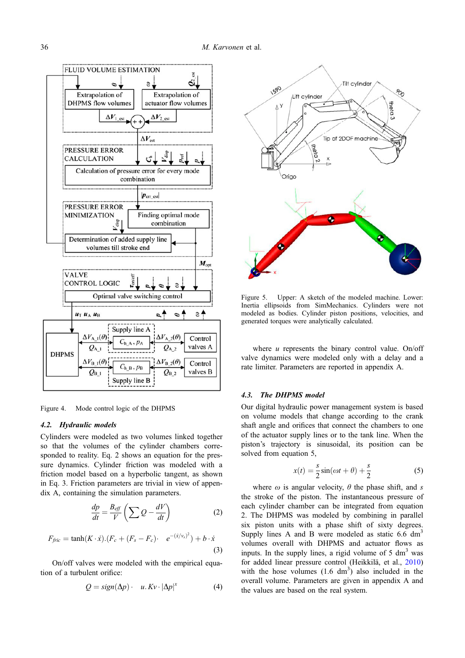<span id="page-3-0"></span>

Figure 4. Mode control logic of the DHPMS

#### 4.2. Hydraulic models

Cylinders were modeled as two volumes linked together so that the volumes of the cylinder chambers corresponded to reality. Eq. 2 shows an equation for the pressure dynamics. Cylinder friction was modeled with a friction model based on a hyperbolic tangent, as shown in Eq. 3. Friction parameters are trivial in view of appendix A, containing the simulation parameters.

$$
\frac{dp}{dt} = \frac{B_{\text{eff}}}{V} \left( \sum Q - \frac{dV}{dt} \right) \tag{2}
$$

$$
F_{\text{fric}} = \tanh(K \cdot \dot{x}). (F_c + (F_s - F_c) \cdot e^{-(\dot{x}/v_s)^2}) + b \cdot \dot{x}
$$
\n(3)

On/off valves were modeled with the empirical equation of a turbulent orifice:

$$
Q = sign(\Delta p) \cdot u.Kv \cdot |\Delta p|^x \tag{4}
$$



Figure 5. Upper: A sketch of the modeled machine. Lower: Inertia ellipsoids from SimMechanics. Cylinders were not modeled as bodies. Cylinder piston positions, velocities, and generated torques were analytically calculated.

where  $u$  represents the binary control value. On/off valve dynamics were modeled only with a delay and a rate limiter. Parameters are reported in appendix A.

#### 4.3. The DHPMS model

Our digital hydraulic power management system is based on volume models that change according to the crank shaft angle and orifices that connect the chambers to one of the actuator supply lines or to the tank line. When the piston's trajectory is sinusoidal, its position can be solved from equation 5,

$$
x(t) = \frac{s}{2}\sin(\omega t + \theta) + \frac{s}{2}
$$
 (5)

where  $\omega$  is angular velocity,  $\theta$  the phase shift, and s the stroke of the piston. The instantaneous pressure of each cylinder chamber can be integrated from equation 2. The DHPMS was modeled by combining in parallel six piston units with a phase shift of sixty degrees. Supply lines A and B were modeled as static 6.6 dm<sup>3</sup> volumes overall with DHPMS and actuator flows as inputs. In the supply lines, a rigid volume of  $5 \text{ dm}^3$  was for added linear pressure control (Heikkilä, et al., [2010\)](#page-10-0) with the hose volumes  $(1.6 \text{ dm}^3)$  also included in the overall volume. Parameters are given in appendix A and the values are based on the real system.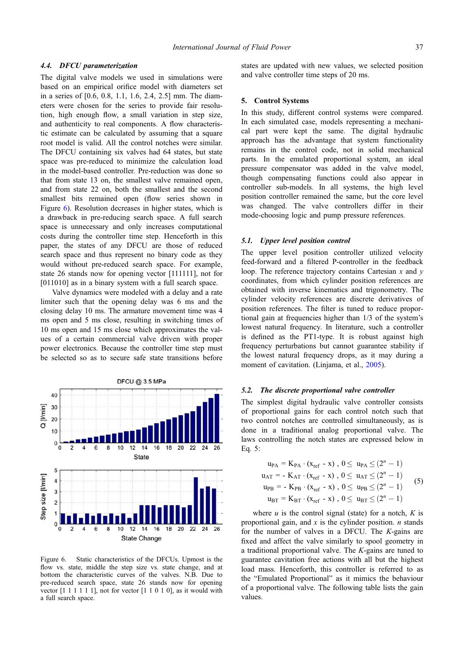### 4.4. DFCU parameterization

The digital valve models we used in simulations were based on an empirical orifice model with diameters set in a series of [0.6, 0.8, 1.1, 1.6, 2.4, 2.5] mm. The diameters were chosen for the series to provide fair resolution, high enough flow, a small variation in step size, and authenticity to real components. A flow characteristic estimate can be calculated by assuming that a square root model is valid. All the control notches were similar. The DFCU containing six valves had 64 states, but state space was pre-reduced to minimize the calculation load in the model-based controller. Pre-reduction was done so that from state 13 on, the smallest valve remained open, and from state 22 on, both the smallest and the second smallest bits remained open (flow series shown in Figure 6). Resolution decreases in higher states, which is a drawback in pre-reducing search space. A full search space is unnecessary and only increases computational costs during the controller time step. Henceforth in this paper, the states of any DFCU are those of reduced search space and thus represent no binary code as they would without pre-reduced search space. For example, state 26 stands now for opening vector [111111], not for [011010] as in a binary system with a full search space.

Valve dynamics were modeled with a delay and a rate limiter such that the opening delay was 6 ms and the closing delay 10 ms. The armature movement time was 4 ms open and 5 ms close, resulting in switching times of 10 ms open and 15 ms close which approximates the values of a certain commercial valve driven with proper power electronics. Because the controller time step must be selected so as to secure safe state transitions before

DFCU @ 3.5 MPa 40 30 Q [I/min] 20  $10$ 0  $\overline{0}$  $\overline{2}$  $\epsilon$  $\overline{\mathbf{8}}$  $10$  $12$  $14$ 16  $18$ 20  $22$ State 5 Step size [I/min]  $\overline{4}$ 3  $\overline{2}$ f  $\overline{0}$  $\overline{2}$  $\overline{4}$  $\,6\,$  $\bf{8}$ 10 12 14 16 18 20 22 24 26  $\mathbf{0}$ **State Change** 

Figure 6. Static characteristics of the DFCUs. Upmost is the flow vs. state, middle the step size vs. state change, and at bottom the characteristic curves of the valves. N.B. Due to pre-reduced search space, state 26 stands now for opening vector  $[1 1 1 1 1 1]$ , not for vector  $[1 1 0 1 0]$ , as it would with a full search space.

states are updated with new values, we selected position and valve controller time steps of 20 ms.

### 5. Control Systems

In this study, different control systems were compared. In each simulated case, models representing a mechanical part were kept the same. The digital hydraulic approach has the advantage that system functionality remains in the control code, not in solid mechanical parts. In the emulated proportional system, an ideal pressure compensator was added in the valve model, though compensating functions could also appear in controller sub-models. In all systems, the high level position controller remained the same, but the core level was changed. The valve controllers differ in their mode-choosing logic and pump pressure references.

#### 5.1. Upper level position control

The upper level position controller utilized velocity feed-forward and a filtered P-controller in the feedback loop. The reference trajectory contains Cartesian  $x$  and  $y$ coordinates, from which cylinder position references are obtained with inverse kinematics and trigonometry. The cylinder velocity references are discrete derivatives of position references. The filter is tuned to reduce proportional gain at frequencies higher than 1/3 of the system's lowest natural frequency. In literature, such a controller is defined as the PT1-type. It is robust against high frequency perturbations but cannot guarantee stability if the lowest natural frequency drops, as it may during a moment of cavitation. (Linjama, et al., [2005\)](#page-10-0).

### 5.2. The discrete proportional valve controller

The simplest digital hydraulic valve controller consists of proportional gains for each control notch such that two control notches are controlled simultaneously, as is done in a traditional analog proportional valve. The laws controlling the notch states are expressed below in Eq. 5:

$$
u_{PA} = K_{PA} \cdot (x_{ref} - x), 0 \le u_{PA} \le (2^n - 1)
$$
  
\n
$$
u_{AT} = - K_{AT} \cdot (x_{ref} - x), 0 \le u_{AT} \le (2^n - 1)
$$
  
\n
$$
u_{PB} = - K_{PB} \cdot (x_{ref} - x), 0 \le u_{PB} \le (2^n - 1)
$$
  
\n
$$
u_{BT} = K_{BT} \cdot (x_{ref} - x), 0 \le u_{BT} \le (2^n - 1)
$$
  
\n(5)

where  $u$  is the control signal (state) for a notch,  $K$  is proportional gain, and  $x$  is the cylinder position.  $n$  stands for the number of valves in a DFCU. The K-gains are fixed and affect the valve similarly to spool geometry in a traditional proportional valve. The K-gains are tuned to guarantee cavitation free actions with all but the highest load mass. Henceforth, this controller is referred to as the "Emulated Proportional" as it mimics the behaviour of a proportional valve. The following table lists the gain values.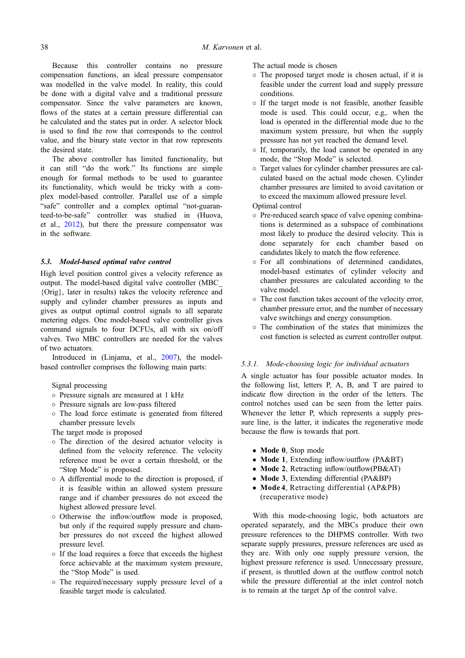Because this controller contains no pressure compensation functions, an ideal pressure compensator was modelled in the valve model. In reality, this could be done with a digital valve and a traditional pressure compensator. Since the valve parameters are known, flows of the states at a certain pressure differential can be calculated and the states put in order. A selector block is used to find the row that corresponds to the control value, and the binary state vector in that row represents the desired state.

The above controller has limited functionality, but it can still "do the work." Its functions are simple enough for formal methods to be used to guarantee its functionality, which would be tricky with a complex model-based controller. Parallel use of a simple "safe" controller and a complex optimal "not-guaranteed-to-be-safe" controller was studied in (Huova, et al., [2012](#page-10-0)), but there the pressure compensator was in the software.

# 5.3. Model-based optimal valve control

High level position control gives a velocity reference as output. The model-based digital valve controller (MBC\_ {Orig}, later in results) takes the velocity reference and supply and cylinder chamber pressures as inputs and gives as output optimal control signals to all separate metering edges. One model-based valve controller gives command signals to four DCFUs, all with six on/off valves. Two MBC controllers are needed for the valves of two actuators.

Introduced in (Linjama, et al., [2007\)](#page-10-0), the modelbased controller comprises the following main parts:

Signal processing

- Pressure signals are measured at 1 kHz
- Pressure signals are low-pass filtered
- The load force estimate is generated from filtered chamber pressure levels

The target mode is proposed

- The direction of the desired actuator velocity is defined from the velocity reference. The velocity reference must be over a certain threshold, or the "Stop Mode" is proposed.
- A differential mode to the direction is proposed, if it is feasible within an allowed system pressure range and if chamber pressures do not exceed the highest allowed pressure level.
- Otherwise the inflow/outflow mode is proposed, but only if the required supply pressure and chamber pressures do not exceed the highest allowed pressure level.
- If the load requires a force that exceeds the highest force achievable at the maximum system pressure, the "Stop Mode" is used.
- The required/necessary supply pressure level of a feasible target mode is calculated.

The actual mode is chosen

- The proposed target mode is chosen actual, if it is feasible under the current load and supply pressure conditions.
- If the target mode is not feasible, another feasible mode is used. This could occur, e.g,. when the load is operated in the differential mode due to the maximum system pressure, but when the supply pressure has not yet reached the demand level.
- If, temporarily, the load cannot be operated in any mode, the "Stop Mode" is selected.
- Target values for cylinder chamber pressures are calculated based on the actual mode chosen. Cylinder chamber pressures are limited to avoid cavitation or to exceed the maximum allowed pressure level.

Optimal control

- Pre-reduced search space of valve opening combinations is determined as a subspace of combinations most likely to produce the desired velocity. This is done separately for each chamber based on candidates likely to match the flow reference.
- For all combinations of determined candidates, model-based estimates of cylinder velocity and chamber pressures are calculated according to the valve model.
- The cost function takes account of the velocity error, chamber pressure error, and the number of necessary valve switchings and energy consumption.
- The combination of the states that minimizes the cost function is selected as current controller output.

### 5.3.1. Mode-choosing logic for individual actuators

A single actuator has four possible actuator modes. In the following list, letters P, A, B, and T are paired to indicate flow direction in the order of the letters. The control notches used can be seen from the letter pairs. Whenever the letter P, which represents a supply pressure line, is the latter, it indicates the regenerative mode because the flow is towards that port.

- Mode 0, Stop mode
- Mode 1, Extending inflow/outflow (PA&BT)
- Mode 2, Retracting inflow/outflow(PB&AT)
- Mode 3, Extending differential (PA&BP)
- Mode 4, Retracting differential (AP&PB) (recuperative mode)

With this mode-choosing logic, both actuators are operated separately, and the MBCs produce their own pressure references to the DHPMS controller. With two separate supply pressures, pressure references are used as they are. With only one supply pressure version, the highest pressure reference is used. Unnecessary pressure, if present, is throttled down at the outflow control notch while the pressure differential at the inlet control notch is to remain at the target  $\Delta p$  of the control valve.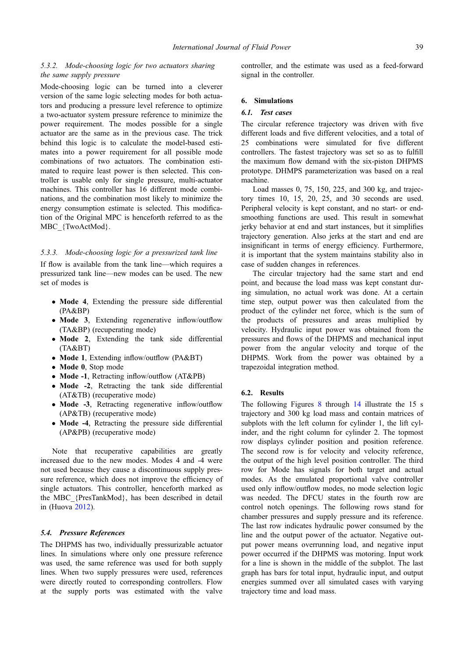# 5.3.2. Mode-choosing logic for two actuators sharing the same supply pressure

Mode-choosing logic can be turned into a cleverer version of the same logic selecting modes for both actuators and producing a pressure level reference to optimize a two-actuator system pressure reference to minimize the power requirement. The modes possible for a single actuator are the same as in the previous case. The trick behind this logic is to calculate the model-based estimates into a power requirement for all possible mode combinations of two actuators. The combination estimated to require least power is then selected. This controller is usable only for single pressure, multi-actuator machines. This controller has 16 different mode combinations, and the combination most likely to minimize the energy consumption estimate is selected. This modification of the Original MPC is henceforth referred to as the MBC {TwoActMod}.

### 5.3.3. Mode-choosing logic for a pressurized tank line

If flow is available from the tank line—which requires a pressurized tank line—new modes can be used. The new set of modes is

- Mode 4, Extending the pressure side differential (PA&BP)
- Mode 3, Extending regenerative inflow/outflow (TA&BP) (recuperating mode)
- Mode 2, Extending the tank side differential (TA&BT)
- Mode 1, Extending inflow/outflow (PA&BT)
- Mode 0, Stop mode
- Mode -1, Retracting inflow/outflow (AT&PB)
- Mode -2, Retracting the tank side differential (AT&TB) (recuperative mode)
- Mode -3, Retracting regenerative inflow/outflow (AP&TB) (recuperative mode)
- Mode -4, Retracting the pressure side differential (AP&PB) (recuperative mode)

Note that recuperative capabilities are greatly increased due to the new modes. Modes 4 and -4 were not used because they cause a discontinuous supply pressure reference, which does not improve the efficiency of single actuators. This controller, henceforth marked as the MBC\_{PresTankMod}, has been described in detail in (Huova [2012\)](#page-10-0).

# 5.4. Pressure References

The DHPMS has two, individually pressurizable actuator lines. In simulations where only one pressure reference was used, the same reference was used for both supply lines. When two supply pressures were used, references were directly routed to corresponding controllers. Flow at the supply ports was estimated with the valve controller, and the estimate was used as a feed-forward signal in the controller.

#### 6. Simulations

### 6.1. Test cases

The circular reference trajectory was driven with five different loads and five different velocities, and a total of 25 combinations were simulated for five different controllers. The fastest trajectory was set so as to fulfill the maximum flow demand with the six-piston DHPMS prototype. DHMPS parameterization was based on a real machine.

Load masses 0, 75, 150, 225, and 300 kg, and trajectory times 10, 15, 20, 25, and 30 seconds are used. Peripheral velocity is kept constant, and no start- or endsmoothing functions are used. This result in somewhat jerky behavior at end and start instances, but it simplifies trajectory generation. Also jerks at the start and end are insignificant in terms of energy efficiency. Furthermore, it is important that the system maintains stability also in case of sudden changes in references.

The circular trajectory had the same start and end point, and because the load mass was kept constant during simulation, no actual work was done. At a certain time step, output power was then calculated from the product of the cylinder net force, which is the sum of the products of pressures and areas multiplied by velocity. Hydraulic input power was obtained from the pressures and flows of the DHPMS and mechanical input power from the angular velocity and torque of the DHPMS. Work from the power was obtained by a trapezoidal integration method.

#### 6.2. Results

The following Figures [8](#page-7-0) through [14](#page-9-0) illustrate the 15 s trajectory and 300 kg load mass and contain matrices of subplots with the left column for cylinder 1, the lift cylinder, and the right column for cylinder 2. The topmost row displays cylinder position and position reference. The second row is for velocity and velocity reference, the output of the high level position controller. The third row for Mode has signals for both target and actual modes. As the emulated proportional valve controller used only inflow/outflow modes, no mode selection logic was needed. The DFCU states in the fourth row are control notch openings. The following rows stand for chamber pressures and supply pressure and its reference. The last row indicates hydraulic power consumed by the line and the output power of the actuator. Negative output power means overrunning load, and negative input power occurred if the DHPMS was motoring. Input work for a line is shown in the middle of the subplot. The last graph has bars for total input, hydraulic input, and output energies summed over all simulated cases with varying trajectory time and load mass.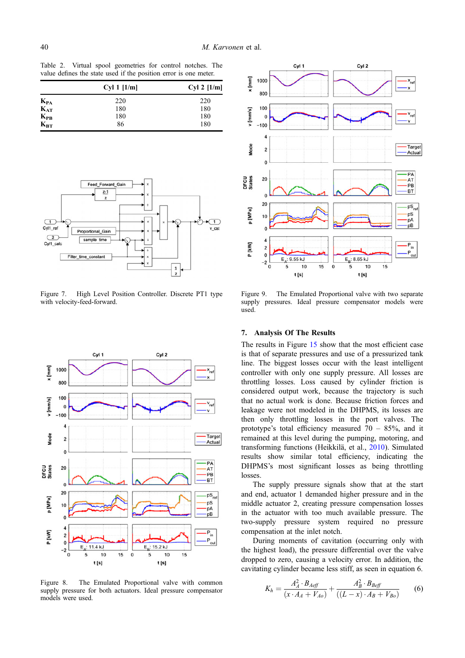<span id="page-7-0"></span>Table 2. Virtual spool geometries for control notches. The value defines the state used if the position error is one meter.

|              | Cyl $1$ [ $1/m$ ] | Cyl 2 $[1/m]$ |  |
|--------------|-------------------|---------------|--|
| $K_{PA}$     | 220               | 220           |  |
| $K_{AT}$     | 180               | 180           |  |
| $K_{PB}$     | 180               | 180           |  |
| $K_{\rm BT}$ | 86                | 180           |  |



Figure 7. High Level Position Controller. Discrete PT1 type with velocity-feed-forward.



Figure 8. The Emulated Proportional valve with common supply pressure for both actuators. Ideal pressure compensator models were used.



Figure 9. The Emulated Proportional valve with two separate supply pressures. Ideal pressure compensator models were used.

#### 7. Analysis Of The Results

The results in Figure [15](#page-9-0) show that the most efficient case is that of separate pressures and use of a pressurized tank line. The biggest losses occur with the least intelligent controller with only one supply pressure. All losses are throttling losses. Loss caused by cylinder friction is considered output work, because the trajectory is such that no actual work is done. Because friction forces and leakage were not modeled in the DHPMS, its losses are then only throttling losses in the port valves. The prototype's total efficiency measured 70 – 85%, and it remained at this level during the pumping, motoring, and transforming functions (Heikkilä, et al., [2010\)](#page-10-0). Simulated results show similar total efficiency, indicating the DHPMS's most significant losses as being throttling losses.

The supply pressure signals show that at the start and end, actuator 1 demanded higher pressure and in the middle actuator 2, creating pressure compensation losses in the actuator with too much available pressure. The two-supply pressure system required no pressure compensation at the inlet notch.

During moments of cavitation (occurring only with the highest load), the pressure differential over the valve dropped to zero, causing a velocity error. In addition, the cavitating cylinder became less stiff, as seen in equation 6.

$$
K_h = \frac{A_A^2 \cdot B_{Aeff}}{(x \cdot A_A + V_{Ao})} + \frac{A_B^2 \cdot B_{Beff}}{((L - x) \cdot A_B + V_{Bo})}
$$
(6)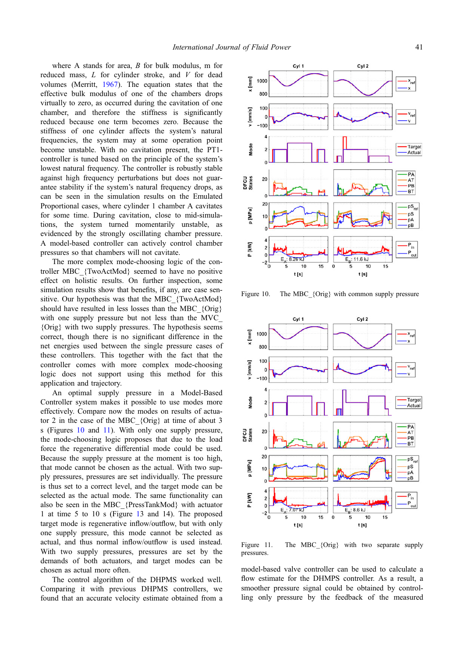where A stands for area,  $B$  for bulk modulus, m for reduced mass,  $L$  for cylinder stroke, and  $V$  for dead volumes (Merritt, [1967\)](#page-11-0). The equation states that the effective bulk modulus of one of the chambers drops virtually to zero, as occurred during the cavitation of one chamber, and therefore the stiffness is significantly reduced because one term becomes zero. Because the stiffness of one cylinder affects the system's natural frequencies, the system may at some operation point become unstable. With no cavitation present, the PT1 controller is tuned based on the principle of the system's lowest natural frequency. The controller is robustly stable against high frequency perturbations but does not guarantee stability if the system's natural frequency drops, as can be seen in the simulation results on the Emulated Proportional cases, where cylinder 1 chamber A cavitates for some time. During cavitation, close to mid-simulations, the system turned momentarily unstable, as evidenced by the strongly oscillating chamber pressure. A model-based controller can actively control chamber pressures so that chambers will not cavitate.

The more complex mode-choosing logic of the controller MBC\_{TwoActMod} seemed to have no positive effect on holistic results. On further inspection, some simulation results show that benefits, if any, are case sensitive. Our hypothesis was that the MBC {TwoActMod} should have resulted in less losses than the MBC {Orig} with one supply pressure but not less than the MVC {Orig} with two supply pressures. The hypothesis seems correct, though there is no significant difference in the net energies used between the single pressure cases of these controllers. This together with the fact that the controller comes with more complex mode-choosing logic does not support using this method for this application and trajectory.

An optimal supply pressure in a Model-Based Controller system makes it possible to use modes more effectively. Compare now the modes on results of actuator 2 in the case of the MBC\_{Orig} at time of about 3 s (Figures 10 and 11). With only one supply pressure, the mode-choosing logic proposes that due to the load force the regenerative differential mode could be used. Because the supply pressure at the moment is too high, that mode cannot be chosen as the actual. With two supply pressures, pressures are set individually. The pressure is thus set to a correct level, and the target mode can be selected as the actual mode. The same functionality can also be seen in the MBC\_{PressTankMod} with actuator 1 at time 5 to 10 s (Figure [1](#page-1-0)3 and 14). The proposed target mode is regenerative inflow/outflow, but with only one supply pressure, this mode cannot be selected as actual, and thus normal inflow/outflow is used instead. With two supply pressures, pressures are set by the demands of both actuators, and target modes can be chosen as actual more often.

The control algorithm of the DHPMS worked well. Comparing it with previous DHPMS controllers, we found that an accurate velocity estimate obtained from a



Figure 10. The MBC  $\{Orig \}$  with common supply pressure



Figure 11. The MBC {Orig} with two separate supply pressures.

model-based valve controller can be used to calculate a flow estimate for the DHMPS controller. As a result, a smoother pressure signal could be obtained by controlling only pressure by the feedback of the measured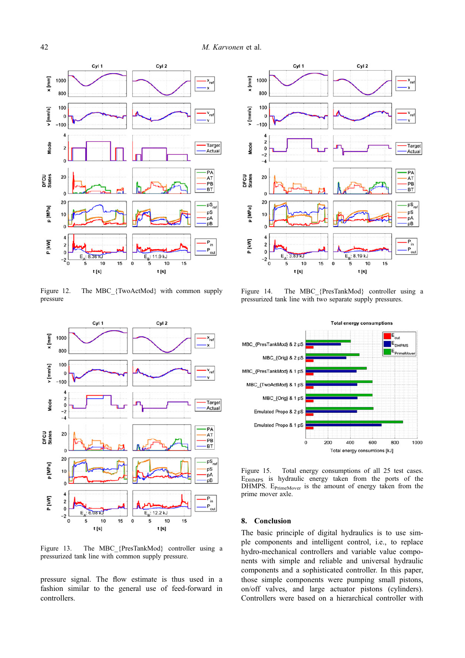<span id="page-9-0"></span>

Figure 12. The MBC {TwoActMod} with common supply pressure



Figure 13. The MBC\_{PresTankMod} controller using a pressurized tank line with common supply pressure.

pressure signal. The flow estimate is thus used in a fashion similar to the general use of feed-forward in controllers.



Figure 14. The MBC {PresTankMod} controller using a pressurized tank line with two separate supply pressures.



Figure 15. Total energy consumptions of all 25 test cases. EDHMPS is hydraulic energy taken from the ports of the DHMPS. E<sub>PrimeMover</sub> is the amount of energy taken from the prime mover axle.

#### 8. Conclusion

The basic principle of digital hydraulics is to use simple components and intelligent control, i.e., to replace hydro-mechanical controllers and variable value components with simple and reliable and universal hydraulic components and a sophisticated controller. In this paper, those simple components were pumping small pistons, on/off valves, and large actuator pistons (cylinders). Controllers were based on a hierarchical controller with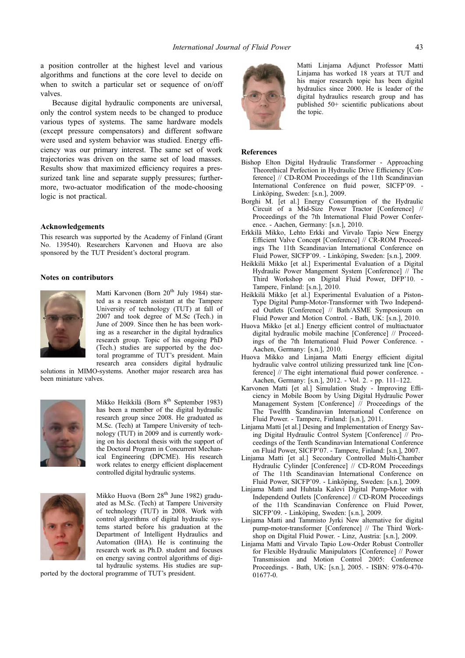<span id="page-10-0"></span>a position controller at the highest level and various algorithms and functions at the core level to decide on when to switch a particular set or sequence of on/off valves.

Because digital hydraulic components are universal, only the control system needs to be changed to produce various types of systems. The same hardware models (except pressure compensators) and different software were used and system behavior was studied. Energy efficiency was our primary interest. The same set of work trajectories was driven on the same set of load masses. Results show that maximized efficiency requires a pressurized tank line and separate supply pressures; furthermore, two-actuator modification of the mode-choosing logic is not practical.

#### Acknowledgements

This research was supported by the Academy of Finland (Grant No. 139540). Researchers Karvonen and Huova are also sponsored by the TUT President's doctoral program.

#### Notes on contributors



Matti Karvonen (Born 20<sup>th</sup> July 1984) started as a research assistant at the Tampere University of technology (TUT) at fall of 2007 and took degree of M.Sc (Tech.) in June of 2009. Since then he has been working as a researcher in the digital hydraulics research group. Topic of his ongoing PhD (Tech.) studies are supported by the doctoral programme of TUT's president. Main research area considers digital hydraulic

solutions in MIMO-systems. Another major research area has been miniature valves.



Mikko Heikkilä (Born 8<sup>th</sup> September 1983) has been a member of the digital hydraulic research group since 2008. He graduated as M.Sc. (Tech) at Tampere University of technology (TUT) in 2009 and is currently working on his doctoral thesis with the support of the Doctoral Program in Concurrent Mechanical Engineering (DPCME). His research work relates to energy efficient displacement controlled digital hydraulic systems.



Mikko Huova (Born  $28<sup>th</sup>$  June 1982) graduated as M.Sc. (Tech) at Tampere University of technology (TUT) in 2008. Work with control algorithms of digital hydraulic systems started before his graduation at the Department of Intelligent Hydraulics and Automation (IHA). He is continuing the research work as Ph.D. student and focuses on energy saving control algorithms of digital hydraulic systems. His studies are sup-

ported by the doctoral programme of TUT's president.



Matti Linjama Adjunct Professor Matti Linjama has worked 18 years at TUT and his major research topic has been digital hydraulics since 2000. He is leader of the digital hydraulics research group and has published 50+ scientific publications about the topic.

# References

- Bishop Elton Digital Hydraulic Transformer Approaching Theorethical Perfection in Hydraulic Drive Efficiency [Conference] // CD-ROM Proceedings of the 11th Scandinavian International Conference on fluid power, SICFP'09. - Linköping, Sweden: [s.n.], 2009.
- Borghi M. [et al.] Energy Consumption of the Hydraulic Circuit of a Mid-Size Power Tractor [Conference] // Proceedings of the 7th International Fluid Power Conference. - Aachen, Germany: [s.n.], 2010.
- Erkkilä Mikko, Lehto Erkki and Virvalo Tapio New Energy Efficient Valve Concept [Conference] // CR-ROM Proceedings The 11th Scandinavian International Conference on Fluid Power, SICFP'09. - Linköping, Sweden: [s.n.], 2009.
- Heikkilä Mikko [et al.] Experimental Evaluation of a Digital Hydraulic Power Mangement System [Conference] // The Third Workshop on Digital Fluid Power, DFP'10. - Tampere, Finland: [s.n.], 2010.
- Heikkilä Mikko [et al.] Experimental Evaluation of a Piston-Type Digital Pump-Motor-Transformer with Two Independed Outlets [Conference] // Bath/ASME Symposioum on Fluid Power and Motion Control. - Bath, UK: [s.n.], 2010.
- Huova Mikko [et al.] Energy efficient control of multiactuator digital hydraulic mobile machine [Conference] // Proceedings of the 7th International Fluid Power Conference. - Aachen, Germany: [s.n.], 2010.
- Huova Mikko and Linjama Matti Energy efficient digital hydraulic valve control utilizing pressurized tank line [Conference] // The eight international fluid power conference. - Aachen, Germany: [s.n.], 2012. - Vol. 2. - pp. 111–122.
- Karvonen Matti [et al.] Simulation Study Improving Efficiency in Mobile Boom by Using Digital Hydraulic Power Management System [Conference] // Proceedings of the The Twelfth Scandinavian International Conference on Fluid Power. - Tampere, Finland: [s.n.], 2011.
- Linjama Matti [et al.] Desing and Implementation of Energy Saving Digital Hydraulic Control System [Conference] // Proceedings of the Tenth Scandinavian International Conference on Fluid Power, SICFP'07. - Tampere, Finland: [s.n.], 2007.
- Linjama Matti [et al.] Secondary Controlled Multi-Chamber Hydraulic Cylinder [Conference] // CD-ROM Proceedings of The 11th Scandinavian International Conference on Fluid Power, SICFP'09. - Linköping, Sweden: [s.n.], 2009.
- Linjama Matti and Huhtala Kalevi Digital Pump-Motor with Independend Outlets [Conference] // CD-ROM Proceedings of the 11th Scandinavian Conference on Fluid Power, SICFP'09. - Linköping, Sweden: [s.n.], 2009.
- Linjama Matti and Tammisto Jyrki New alternative for digital pump-motor-transformer [Conference] // The Third Workshop on Digital Fluid Power. - Linz, Austria: [s.n.], 2009.
- Linjama Matti and Virvalo Tapio Low-Order Robust Controller for Flexible Hydraulic Manipulators [Conference] // Power Transmission and Motion Control 2005: Conference Proceedings. - Bath, UK: [s.n.], 2005. - ISBN: 978-0-470- 01677-0.